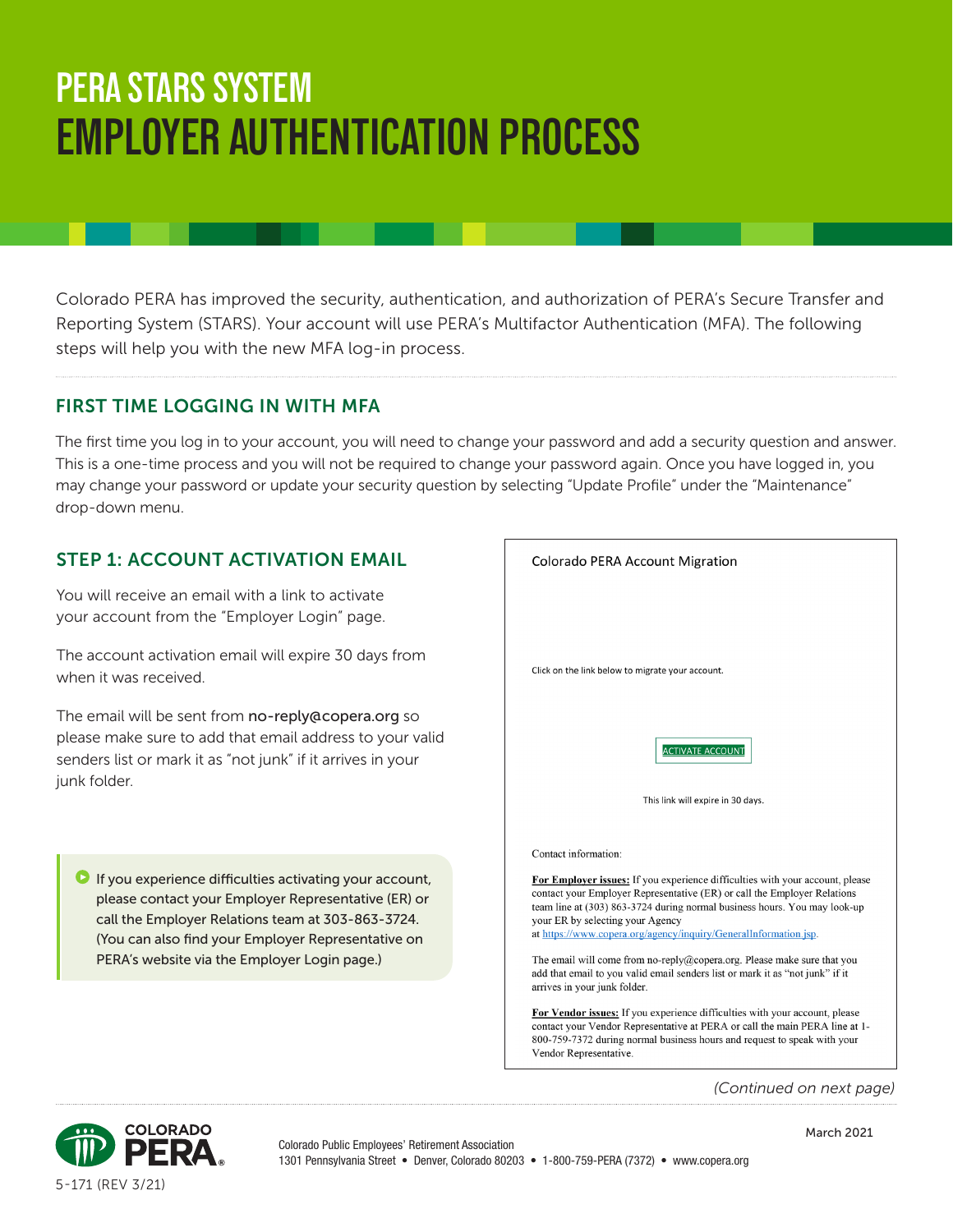# **PERA STARS SYSTEM EMPLOYER AUTHENTICATION PROCESS**

Colorado PERA has improved the security, authentication, and authorization of PERA's Secure Transfer and Reporting System (STARS). Your account will use PERA's Multifactor Authentication (MFA). The following steps will help you with the new MFA log-in process.

#### FIRST TIME LOGGING IN WITH MFA

The first time you log in to your account, you will need to change your password and add a security question and answer. This is a one-time process and you will not be required to change your password again. Once you have logged in, you may change your password or update your security question by selecting "Update Profile" under the "Maintenance" drop-down menu.

#### STEP 1: ACCOUNT ACTIVATION EMAIL

You will receive an email with a link to activate your account from the "Employer Login" page.

The account activation email will expire 30 days from when it was received.

The email will be sent from no-reply@copera.org so please make sure to add that email address to your valid senders list or mark it as "not junk" if it arrives in your junk folder.

 $\blacksquare$  If you experience difficulties activating your account, please contact your Employer Representative (ER) or call the Employer Relations team at 303-863-3724. (You can also find your Employer Representative on PERA's website via the Employer Login page.)



*(Continued on next page)*

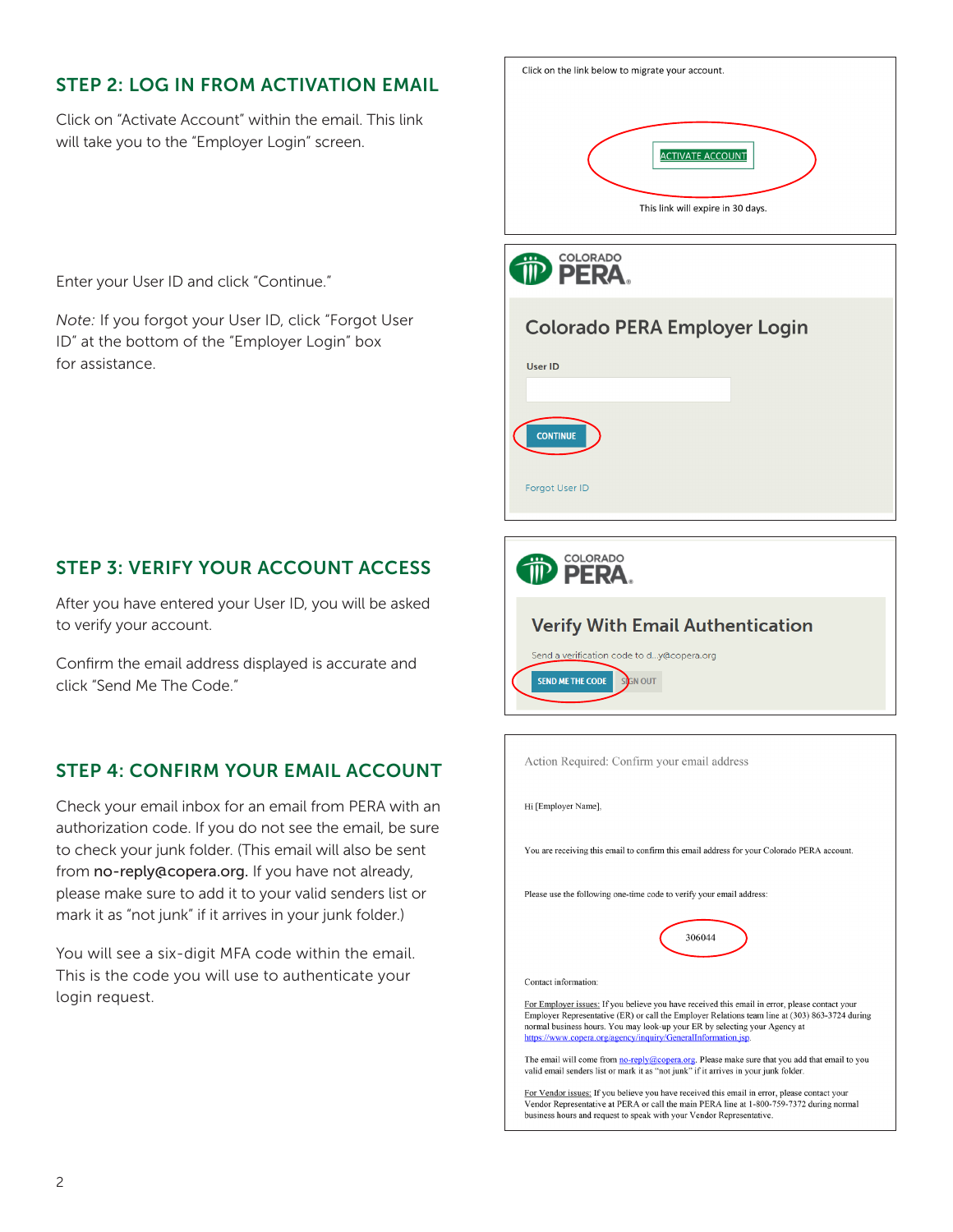## STEP 2: LOG IN FROM ACTIVATION EMAIL

Click on "Activate Account" within the email. This link will take you to the "Employer Login" screen.

Enter your User ID and click "Continue."

*Note:* If you forgot your User ID, click "Forgot User ID" at the bottom of the "Employer Login" box for assistance.

## STEP 3: VERIFY YOUR ACCOUNT ACCESS

After you have entered your User ID, you will be asked to verify your account.

Confirm the email address displayed is accurate and click "Send Me The Code."

## STEP 4: CONFIRM YOUR EMAIL ACCOUNT

Check your email inbox for an email from PERA with an authorization code. If you do not see the email, be sure to check your junk folder. (This email will also be sent from no-reply@copera.org. If you have not already, please make sure to add it to your valid senders list or mark it as "not junk" if it arrives in your junk folder.)

You will see a six-digit MFA code within the email. This is the code you will use to authenticate your login request.

| Click on the link below to migrate your account.             |  |  |  |
|--------------------------------------------------------------|--|--|--|
| <b>ACTIVATE ACCOUNT</b><br>This link will expire in 30 days. |  |  |  |
| COLORADO<br>$\cdots$<br>ERA                                  |  |  |  |
| <b>Colorado PERA Employer Login</b>                          |  |  |  |
| User ID                                                      |  |  |  |
|                                                              |  |  |  |
| <b>CONTINUE</b>                                              |  |  |  |
| Forgot User ID                                               |  |  |  |
| <b>COLORADO</b>                                              |  |  |  |
| PERA.                                                        |  |  |  |
| <b>Verify With Email Authentication</b>                      |  |  |  |

SEND ME THE CODE SIGN OUT Action Required: Confirm your email address Hi [Employer Name], You are receiving this email to confirm this email address for your Colorado PERA account. Please use the following one-time code to verify your email address 306044

Send a verification code to d...y@copera.org

Contact information:

For Employer issues: If you believe you have received this email in error, please contact your Employer Representative (ER) or call the Employer Relations team line at (303) 863-3724 during normal business hours. You may look-up your ER by selecting your Agency at https://www.copera.org/agency/inquiry/GeneralInformation.jsp

The email will come from no-reply@copera.org. Please make sure that you add that email to you valid email senders list or mark it as "not junk" if it arrives in your junk folder.

For Vendor issues: If you believe you have received this email in error, please contact your Vendor Representative at PERA or call the main PERA line at 1-800-759-7372 during normal business hours and request to speak with your Vendor Representative.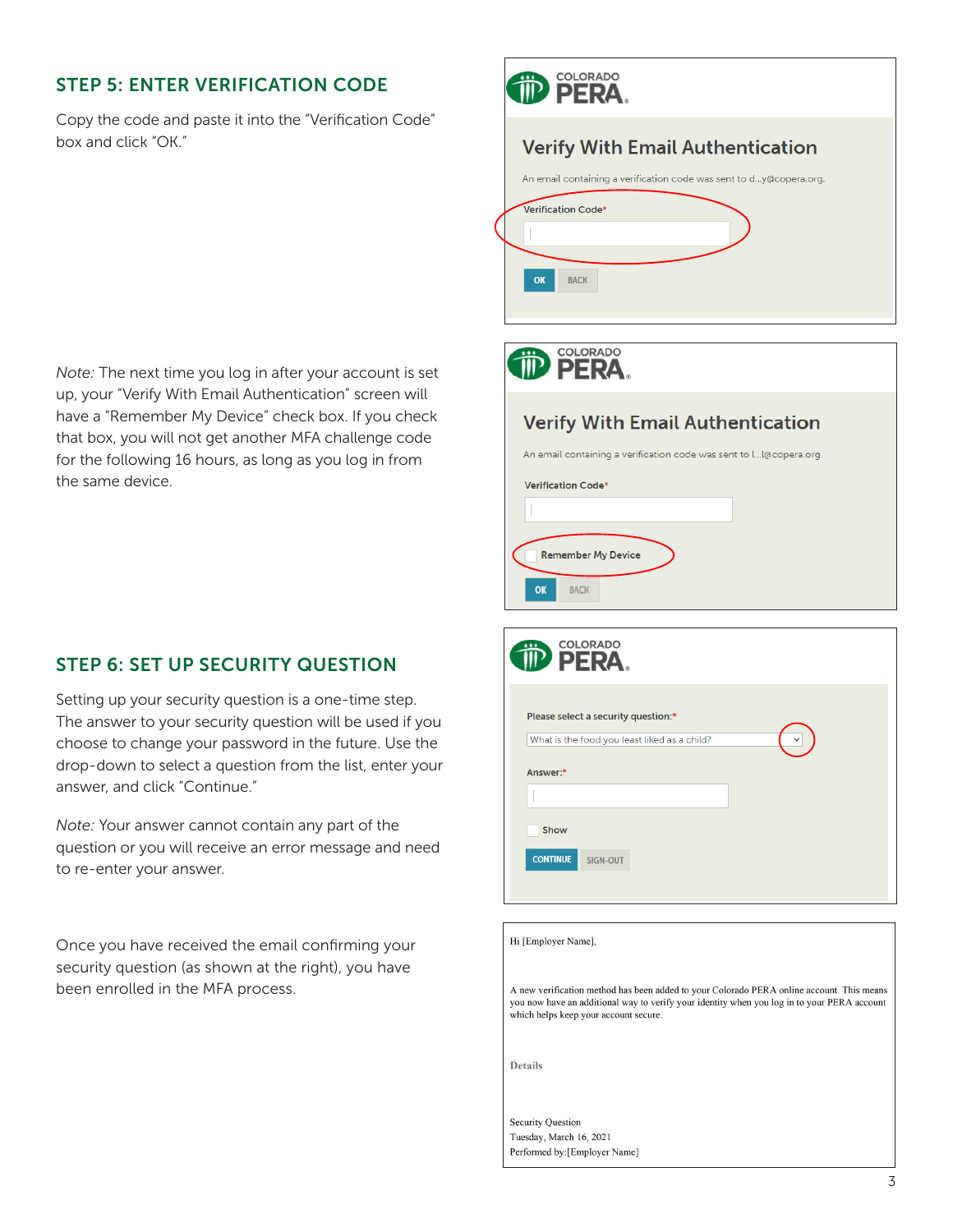#### STEP 5: ENTER VERIFICATION CODE

Copy the code and paste it into the "Verification Code" box and click "OK."

*Note:* The next time you log in after your account is set up, your "Verify With Email Authentication" screen will have a "Remember My Device" check box. If you check that box, you will not get another MFA challenge code for the following 16 hours, as long as you log in from the same device.

## STEP 6: SET UP SECURITY QUESTION

Setting up your security question is a one-time step. The answer to your security question will be used if you choose to change your password in the future. Use the drop-down to select a question from the list, enter your answer, and click "Continue."

*Note:* Your answer cannot contain any part of the question or you will receive an error message and need to re-enter your answer.

Once you have received the email confirming your security question (as shown at the right), you have been enrolled in the MFA process.

| <u></u>  | <b>COLORADO</b><br>III <sup>D</sup> PERA                                                                                                                                                                                          |
|----------|-----------------------------------------------------------------------------------------------------------------------------------------------------------------------------------------------------------------------------------|
| OK       | <b>Verify With Email Authentication</b><br>An email containing a verification code was sent to dy@copera.org.<br>Verification Code*<br><b>BACK</b>                                                                                |
|          | COLORADO<br>PFRA.                                                                                                                                                                                                                 |
| OK       | <b>Verify With Email Authentication</b><br>An email containing a verification code was sent to l I@copera.org.<br>Verification Code*<br><b>Remember My Device</b><br><b>BACK</b>                                                  |
|          | <b>COLORADO</b><br>FRA                                                                                                                                                                                                            |
| Answer:* | Please select a security question:*<br>What is the food you least liked as a child?                                                                                                                                               |
|          | Show<br><b>CONTINUE</b><br>SIGN-OUT                                                                                                                                                                                               |
|          | Hi [Employer Name],                                                                                                                                                                                                               |
|          | A new verification method has been added to your Colorado PERA online account. This means<br>you now have an additional way to verify your identity when you log in to your PERA account<br>which helps keep your account secure. |

Details

Security Question Tuesday, March 16, 2021 Performed by: [Employer Name]